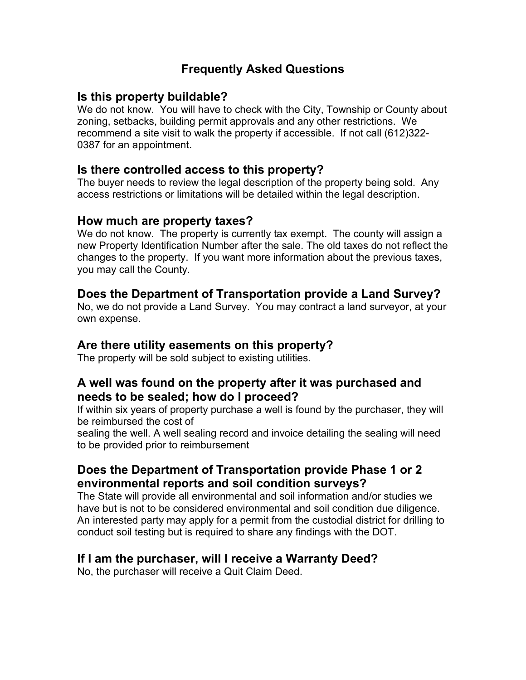## **Frequently Asked Questions**

## **Is this property buildable?**

We do not know. You will have to check with the City, Township or County about zoning, setbacks, building permit approvals and any other restrictions. We recommend a site visit to walk the property if accessible. If not call (612)322- 0387 for an appointment.

#### **Is there controlled access to this property?**

The buyer needs to review the legal description of the property being sold. Any access restrictions or limitations will be detailed within the legal description.

#### **How much are property taxes?**

We do not know. The property is currently tax exempt. The county will assign a new Property Identification Number after the sale. The old taxes do not reflect the changes to the property. If you want more information about the previous taxes, you may call the County.

# **Does the Department of Transportation provide a Land Survey?**

No, we do not provide a Land Survey. You may contract a land surveyor, at your own expense.

## **Are there utility easements on this property?**

The property will be sold subject to existing utilities.

#### **A well was found on the property after it was purchased and needs to be sealed; how do I proceed?**

If within six years of property purchase a well is found by the purchaser, they will be reimbursed the cost of

sealing the well. A well sealing record and invoice detailing the sealing will need to be provided prior to reimbursement

## **Does the Department of Transportation provide Phase 1 or 2 environmental reports and soil condition surveys?**

The State will provide all environmental and soil information and/or studies we have but is not to be considered environmental and soil condition due diligence. An interested party may apply for a permit from the custodial district for drilling to conduct soil testing but is required to share any findings with the DOT.

## **If I am the purchaser, will I receive a Warranty Deed?**

No, the purchaser will receive a Quit Claim Deed.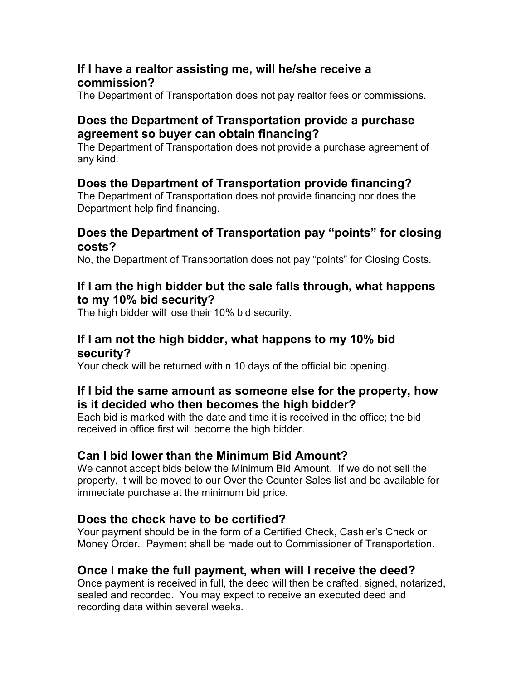## **If I have a realtor assisting me, will he/she receive a commission?**

The Department of Transportation does not pay realtor fees or commissions.

## **Does the Department of Transportation provide a purchase agreement so buyer can obtain financing?**

The Department of Transportation does not provide a purchase agreement of any kind.

# **Does the Department of Transportation provide financing?**

The Department of Transportation does not provide financing nor does the Department help find financing.

#### **Does the Department of Transportation pay "points" for closing costs?**

No, the Department of Transportation does not pay "points" for Closing Costs.

#### **If I am the high bidder but the sale falls through, what happens to my 10% bid security?**

The high bidder will lose their 10% bid security.

#### **If I am not the high bidder, what happens to my 10% bid security?**

Your check will be returned within 10 days of the official bid opening.

## **If I bid the same amount as someone else for the property, how is it decided who then becomes the high bidder?**

Each bid is marked with the date and time it is received in the office; the bid received in office first will become the high bidder.

# **Can I bid lower than the Minimum Bid Amount?**

We cannot accept bids below the Minimum Bid Amount. If we do not sell the property, it will be moved to our Over the Counter Sales list and be available for immediate purchase at the minimum bid price.

## **Does the check have to be certified?**

Your payment should be in the form of a Certified Check, Cashier's Check or Money Order. Payment shall be made out to Commissioner of Transportation.

# **Once I make the full payment, when will I receive the deed?**

Once payment is received in full, the deed will then be drafted, signed, notarized, sealed and recorded. You may expect to receive an executed deed and recording data within several weeks.